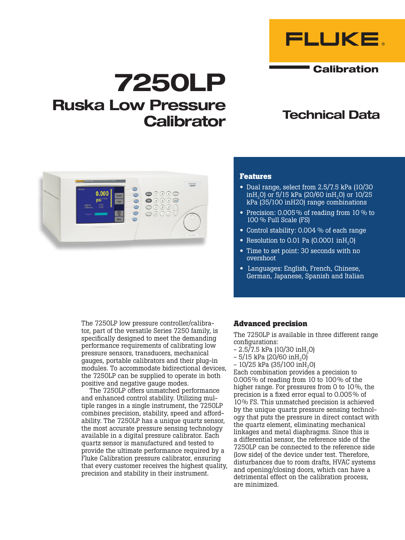

**Calibration** 

# 7250LP Ruska Low Pressure **Calibrator**

## Technical Data



The 7250LP low pressure controller/calibrator, part of the versatile Series 7250 family, is specifically designed to meet the demanding performance requirements of calibrating low pressure sensors, transducers, mechanical gauges, portable calibrators and their plug-in modules. To accommodate bidirectional devices, the 7250LP can be supplied to operate in both positive and negative gauge modes.

The 7250LP offers unmatched performance and enhanced control stability. Utilizing multiple ranges in a single instrument, the 7250LP combines precision, stability, speed and affordability. The 7250LP has a unique quartz sensor, the most accurate pressure sensing technology available in a digital pressure calibrator. Each quartz sensor is manufactured and tested to provide the ultimate performance required by a Fluke Calibration pressure calibrator, ensuring that every customer receives the highest quality, precision and stability in their instrument.

#### **Features**

- Dual range, select from 2.5/7.5 kPa (10/30 inH<sub>2</sub>O) or 5/15 kPa (20/60 inH<sub>2</sub>O) or 10/25 kPa (35/100 inH2O) range combinations
- Precision: 0.005% of reading from 10 % to 100 % Full Scale (FS)
- Control stability: 0.004 % of each range
- Resolution to 0.01 Pa  $(0.0001 \text{ inH}_2O)$
- • Time to set point: 30 seconds with no overshoot
- Languages: English, French, Chinese, German, Japanese, Spanish and Italian

#### **Advanced precision**

The 7250LP is available in three different range configurations:

- $2.5/7.5$  kPa (10/30 inH<sub>2</sub>0)
- $-5/15$  kPa (20/60 inH<sub>2</sub>O)
- $-10/25$  kPa (35/100 inH<sub>2</sub>O)

Each combination provides a precision to 0.005% of reading from 10 to 100% of the higher range. For pressures from 0 to 10%, the precision is a fixed error equal to 0.005% of 10% FS. This unmatched precision is achieved by the unique quartz pressure sensing technology that puts the pressure in direct contact with the quartz element, eliminating mechanical linkages and metal diaphragms. Since this is a differential sensor, the reference side of the 7250LP can be connected to the reference side (low side) of the device under test. Therefore, disturbances due to room drafts, HVAC systems and opening/closing doors, which can have a detrimental effect on the calibration process, are minimized.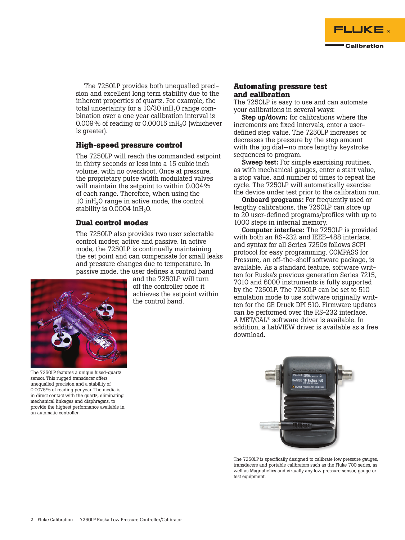

The 7250LP provides both unequalled precision and excellent long term stability due to the inherent properties of quartz. For example, the total uncertainty for a  $10/30$  in  $H<sub>2</sub>O$  range combination over a one year calibration interval is 0.009% of reading or 0.00015 in $H<sub>2</sub>$ O (whichever is greater).

#### **High-speed pressure control**

The 7250LP will reach the commanded setpoint in thirty seconds or less into a 15 cubic inch volume, with no overshoot. Once at pressure, the proprietary pulse width modulated valves will maintain the setpoint to within 0.004% of each range. Therefore, when using the 10 inH2O range in active mode, the control stability is  $0.0004$  in H<sub>2</sub>O.

#### **Dual control modes**

The 7250LP also provides two user selectable control modes; active and passive. In active mode, the 7250LP is continually maintaining the set point and can compensate for small leaks and pressure changes due to temperature. In passive mode, the user defines a control band



The 7250LP features a unique fused-quartz sensor. This rugged transducer offers unequalled precision and a stability of 0.0075% of reading per year. The media is in direct contact with the quartz, eliminating mechanical linkages and diaphragms, to provide the highest performance available in an automatic controller.

and the 7250LP will turn off the controller once it achieves the setpoint within the control band.

#### **Automating pressure test and calibration**

The 7250LP is easy to use and can automate your calibrations in several ways:

Step up/down: for calibrations where the increments are fixed intervals, enter a userdefined step value. The 7250LP increases or decreases the pressure by the step amount with the jog dial—no more lengthy keystroke sequences to program.

Sweep test: For simple exercising routines, as with mechanical gauges, enter a start value, a stop value, and number of times to repeat the cycle. The 7250LP will automatically exercise the device under test prior to the calibration run.

Onboard programs: For frequently used or lengthy calibrations, the 7250LP can store up to 20 user-defined programs/profiles with up to 1000 steps in internal memory.

Computer interface: The 7250LP is provided with both an RS-232 and IEEE-488 interface, and syntax for all Series 7250s follows SCPI protocol for easy programming. COMPASS for Pressure, an off-the-shelf software package, is available. As a standard feature, software written for Ruska's previous generation Series 7215, 7010 and 6000 instruments is fully supported by the 7250LP. The 7250LP can be set to 510 emulation mode to use software originally written for the GE Druck DPI 510. Firmware updates can be performed over the RS-232 interface. A MET/CAL® software driver is available. In addition, a LabVIEW driver is available as a free download.



The 7250LP is specifically designed to calibrate low pressure gauges, transducers and portable calibrators such as the Fluke 700 series, as well as Magnahelics and virtually any low pressure sensor, gauge or test equipment.